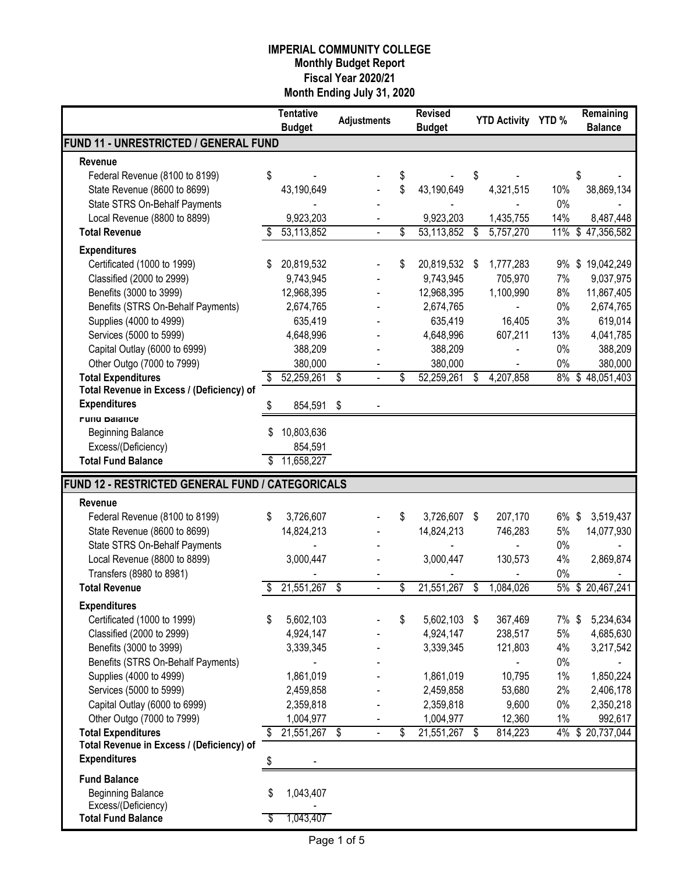|                                                  |    | <b>Tentative</b><br><b>Budget</b> | <b>Adjustments</b>             | <b>Revised</b><br><b>Budget</b> | YTD Activity YTD % |       | Remaining<br><b>Balance</b> |
|--------------------------------------------------|----|-----------------------------------|--------------------------------|---------------------------------|--------------------|-------|-----------------------------|
| FUND 11 - UNRESTRICTED / GENERAL FUND            |    |                                   |                                |                                 |                    |       |                             |
| Revenue                                          |    |                                   |                                |                                 |                    |       |                             |
| Federal Revenue (8100 to 8199)                   | \$ |                                   |                                | \$                              | \$                 |       | \$                          |
| State Revenue (8600 to 8699)                     |    | 43,190,649                        |                                | \$<br>43,190,649                | 4,321,515          | 10%   | 38,869,134                  |
| State STRS On-Behalf Payments                    |    |                                   |                                |                                 |                    | 0%    |                             |
| Local Revenue (8800 to 8899)                     |    | 9,923,203                         | $\blacksquare$                 | 9,923,203                       | 1,435,755          | 14%   | 8,487,448                   |
| <b>Total Revenue</b>                             |    | 53,113,852                        |                                | \$<br>53,113,852                | \$<br>5,757,270    | 11%   | \$47,356,582                |
| <b>Expenditures</b>                              |    |                                   |                                |                                 |                    |       |                             |
| Certificated (1000 to 1999)                      |    | 20,819,532                        |                                | \$<br>20,819,532                | \$<br>1,777,283    | 9%    | \$19,042,249                |
| Classified (2000 to 2999)                        |    | 9,743,945                         |                                | 9,743,945                       | 705,970            | 7%    | 9,037,975                   |
| Benefits (3000 to 3999)                          |    | 12,968,395                        |                                | 12,968,395                      | 1,100,990          | 8%    | 11,867,405                  |
| Benefits (STRS On-Behalf Payments)               |    | 2,674,765                         |                                | 2,674,765                       |                    | 0%    | 2,674,765                   |
|                                                  |    |                                   |                                |                                 | 16,405             | 3%    | 619,014                     |
| Supplies (4000 to 4999)                          |    | 635,419                           |                                | 635,419                         |                    |       |                             |
| Services (5000 to 5999)                          |    | 4,648,996                         |                                | 4,648,996                       | 607,211            | 13%   | 4,041,785                   |
| Capital Outlay (6000 to 6999)                    |    | 388,209                           |                                | 388,209                         |                    | 0%    | 388,209                     |
| Other Outgo (7000 to 7999)                       |    | 380,000                           | $\qquad \qquad \blacksquare$   | 380,000                         |                    | 0%    | 380,000                     |
| <b>Total Expenditures</b>                        | \$ | 52,259,261                        | \$<br>$\overline{a}$           | \$<br>52,259,261                | \$<br>4,207,858    | 8%    | \$48,051,403                |
| Total Revenue in Excess / (Deficiency) of        |    |                                   |                                |                                 |                    |       |                             |
| <b>Expenditures</b>                              | S  | 854,591                           | \$                             |                                 |                    |       |                             |
| rung balance                                     |    |                                   |                                |                                 |                    |       |                             |
| <b>Beginning Balance</b>                         | \$ | 10,803,636                        |                                |                                 |                    |       |                             |
| Excess/(Deficiency)                              |    | 854,591                           |                                |                                 |                    |       |                             |
| <b>Total Fund Balance</b>                        | S  | 11,658,227                        |                                |                                 |                    |       |                             |
| FUND 12 - RESTRICTED GENERAL FUND / CATEGORICALS |    |                                   |                                |                                 |                    |       |                             |
| Revenue                                          |    |                                   |                                |                                 |                    |       |                             |
| Federal Revenue (8100 to 8199)                   | \$ | 3,726,607                         |                                | \$<br>3,726,607 \$              | 207,170            | 6%    | 3,519,437<br>\$             |
| State Revenue (8600 to 8699)                     |    | 14,824,213                        |                                | 14,824,213                      | 746,283            | $5%$  | 14,077,930                  |
| State STRS On-Behalf Payments                    |    |                                   |                                |                                 |                    | 0%    |                             |
| Local Revenue (8800 to 8899)                     |    | 3,000,447                         |                                | 3,000,447                       | 130,573            | 4%    | 2,869,874                   |
| Transfers (8980 to 8981)                         |    |                                   |                                |                                 |                    | 0%    |                             |
| <b>Total Revenue</b>                             |    | 21,551,267                        | \$<br>$\overline{\phantom{0}}$ | \$<br>21,551,267                | \$<br>1,084,026    | 5%    | \$20,467,241                |
| <b>Expenditures</b>                              |    |                                   |                                |                                 |                    |       |                             |
| Certificated (1000 to 1999)                      | \$ | 5,602,103                         |                                | \$<br>5,602,103 \$              | 367,469            | 7%    | 5,234,634<br>\$             |
| Classified (2000 to 2999)                        |    | 4,924,147                         |                                | 4,924,147                       | 238,517            | $5%$  | 4,685,630                   |
| Benefits (3000 to 3999)                          |    | 3,339,345                         |                                | 3,339,345                       | 121,803            | 4%    | 3,217,542                   |
| Benefits (STRS On-Behalf Payments)               |    |                                   |                                |                                 |                    | 0%    |                             |
| Supplies (4000 to 4999)                          |    | 1,861,019                         |                                | 1,861,019                       | 10,795             | 1%    | 1,850,224                   |
|                                                  |    |                                   |                                | 2,459,858                       | 53,680             | 2%    | 2,406,178                   |
| Services (5000 to 5999)                          |    | 2,459,858                         |                                |                                 |                    |       |                             |
| Capital Outlay (6000 to 6999)                    |    | 2,359,818                         |                                | 2,359,818                       | 9,600              | $0\%$ | 2,350,218                   |
| Other Outgo (7000 to 7999)                       |    | 1,004,977                         |                                | 1,004,977                       | 12,360             | 1%    | 992,617                     |
| <b>Total Expenditures</b>                        | \$ | 21,551,267                        | \$                             | \$<br>21,551,267                | \$<br>814,223      | 4%    | \$20,737,044                |
| Total Revenue in Excess / (Deficiency) of        |    |                                   |                                |                                 |                    |       |                             |
| <b>Expenditures</b>                              | \$ |                                   |                                |                                 |                    |       |                             |
| <b>Fund Balance</b>                              |    |                                   |                                |                                 |                    |       |                             |
| <b>Beginning Balance</b><br>Excess/(Deficiency)  | \$ | 1,043,407                         |                                |                                 |                    |       |                             |
| <b>Total Fund Balance</b>                        |    | 1,043,407                         |                                |                                 |                    |       |                             |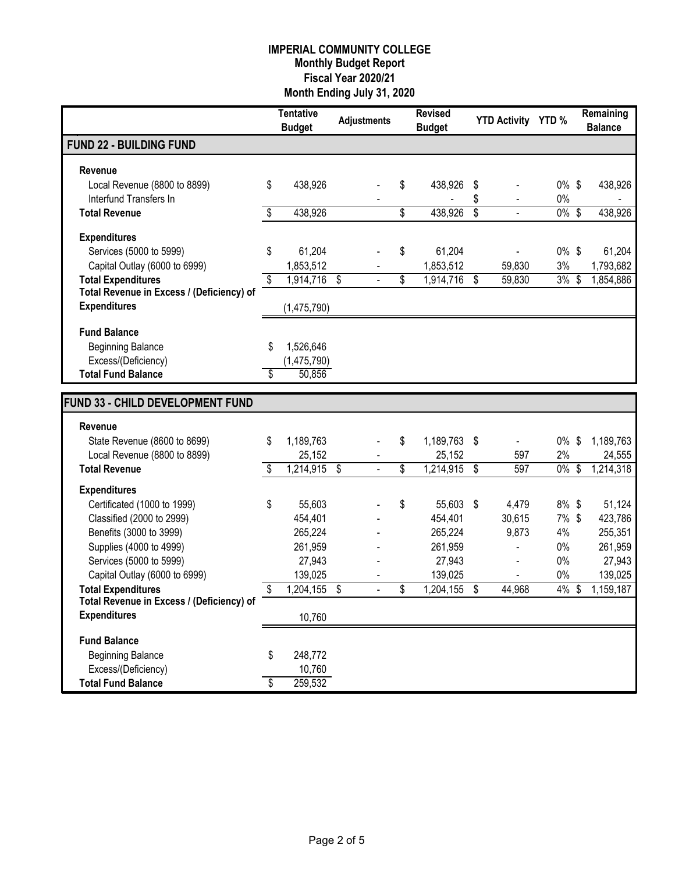|                                                          |    | <b>Tentative</b><br><b>Budget</b> |                          | <b>Adjustments</b> | <b>Revised</b><br><b>Budget</b> |    | <b>YTD Activity YTD %</b> |                |                                        | Remaining<br><b>Balance</b> |
|----------------------------------------------------------|----|-----------------------------------|--------------------------|--------------------|---------------------------------|----|---------------------------|----------------|----------------------------------------|-----------------------------|
| <b>FUND 22 - BUILDING FUND</b>                           |    |                                   |                          |                    |                                 |    |                           |                |                                        |                             |
| Revenue                                                  |    |                                   |                          |                    |                                 |    |                           |                |                                        |                             |
| Local Revenue (8800 to 8899)                             | \$ | 438,926                           |                          |                    | \$<br>438,926                   | S  |                           | $0\%$ \$       |                                        | 438,926                     |
| Interfund Transfers In                                   |    |                                   |                          |                    |                                 | \$ |                           | 0%             |                                        |                             |
| <b>Total Revenue</b>                                     | \$ | 438,926                           |                          |                    | \$<br>438,926                   | S  | $\blacksquare$            | $0\%$          | $\overline{\mathbf{s}}$                | 438,926                     |
| <b>Expenditures</b>                                      |    |                                   |                          |                    |                                 |    |                           |                |                                        |                             |
| Services (5000 to 5999)                                  | \$ | 61,204                            |                          |                    | \$<br>61,204                    |    | $\blacksquare$            | $0\%$ \$       |                                        | 61,204                      |
| Capital Outlay (6000 to 6999)                            |    | 1,853,512                         |                          |                    | 1,853,512                       |    | 59,830                    | 3%             |                                        | 1,793,682                   |
| <b>Total Expenditures</b>                                | \$ | 1,914,716                         | $\overline{\mathcal{S}}$ |                    | \$<br>1,914,716                 | \$ | 59,830                    | 3%             | $\overline{\boldsymbol{\mathfrak{s}}}$ | 1,854,886                   |
| Total Revenue in Excess / (Deficiency) of                |    |                                   |                          |                    |                                 |    |                           |                |                                        |                             |
| <b>Expenditures</b>                                      |    | (1,475,790)                       |                          |                    |                                 |    |                           |                |                                        |                             |
| <b>Fund Balance</b>                                      |    |                                   |                          |                    |                                 |    |                           |                |                                        |                             |
| <b>Beginning Balance</b>                                 | \$ | 1,526,646                         |                          |                    |                                 |    |                           |                |                                        |                             |
| Excess/(Deficiency)                                      |    | (1,475,790)                       |                          |                    |                                 |    |                           |                |                                        |                             |
| <b>Total Fund Balance</b>                                | \$ | 50,856                            |                          |                    |                                 |    |                           |                |                                        |                             |
| FUND 33 - CHILD DEVELOPMENT FUND                         |    |                                   |                          |                    |                                 |    |                           |                |                                        |                             |
|                                                          |    |                                   |                          |                    |                                 |    |                           |                |                                        |                             |
| <b>Revenue</b>                                           |    |                                   |                          |                    |                                 |    |                           |                |                                        |                             |
| State Revenue (8600 to 8699)                             | \$ | 1,189,763                         |                          |                    | \$<br>1,189,763 \$              |    |                           | $0\%$          | -\$                                    | 1,189,763                   |
| Local Revenue (8800 to 8899)<br><b>Total Revenue</b>     | \$ | 25,152<br>$1,214,915$ \$          |                          |                    | \$<br>25,152<br>$1,214,915$ \$  |    | 597<br>597                | 2%<br>$0\%$ \$ |                                        | 24,555<br>1,214,318         |
|                                                          |    |                                   |                          |                    |                                 |    |                           |                |                                        |                             |
| <b>Expenditures</b>                                      |    |                                   |                          |                    |                                 |    |                           |                |                                        |                             |
| Certificated (1000 to 1999)<br>Classified (2000 to 2999) | \$ | 55,603                            |                          |                    | \$<br>55,603 \$                 |    | 4,479                     | 8% \$<br>7%    | \$                                     | 51,124                      |
| Benefits (3000 to 3999)                                  |    | 454,401<br>265,224                |                          |                    | 454,401<br>265,224              |    | 30,615<br>9,873           | 4%             |                                        | 423,786<br>255,351          |
| Supplies (4000 to 4999)                                  |    | 261,959                           |                          |                    | 261,959                         |    |                           | $0\%$          |                                        | 261,959                     |
| Services (5000 to 5999)                                  |    | 27,943                            |                          |                    | 27,943                          |    |                           | 0%             |                                        | 27,943                      |
| Capital Outlay (6000 to 6999)                            |    | 139,025                           |                          |                    | 139,025                         |    |                           | 0%             |                                        | 139,025                     |
| <b>Total Expenditures</b>                                | \$ | 1,204,155                         | \$                       | ä,                 | \$<br>1,204,155                 | \$ | 44,968                    | 4%             | \$                                     | 1,159,187                   |
| Total Revenue in Excess / (Deficiency) of                |    |                                   |                          |                    |                                 |    |                           |                |                                        |                             |
| <b>Expenditures</b>                                      |    | 10,760                            |                          |                    |                                 |    |                           |                |                                        |                             |
| <b>Fund Balance</b>                                      |    |                                   |                          |                    |                                 |    |                           |                |                                        |                             |
| <b>Beginning Balance</b>                                 | S  | 248,772                           |                          |                    |                                 |    |                           |                |                                        |                             |
| Excess/(Deficiency)                                      |    | 10,760                            |                          |                    |                                 |    |                           |                |                                        |                             |
| <b>Total Fund Balance</b>                                | S  | 259,532                           |                          |                    |                                 |    |                           |                |                                        |                             |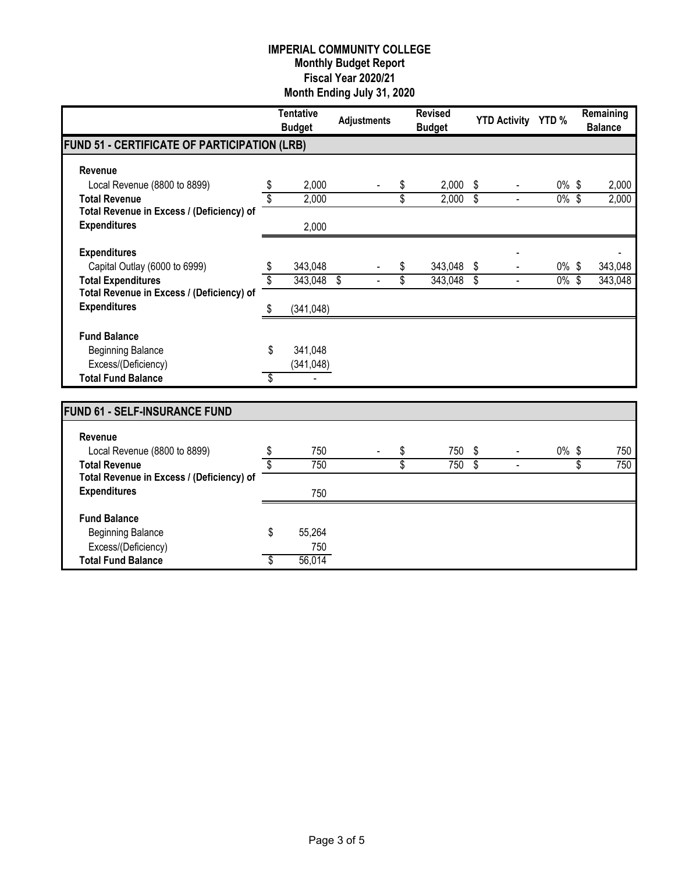|                                                                        |    | <b>Tentative</b><br><b>Budget</b> | <b>Adjustments</b> | <b>Revised</b><br><b>Budget</b> |     | <b>YTD Activity</b> | YTD %    | Remaining<br><b>Balance</b> |
|------------------------------------------------------------------------|----|-----------------------------------|--------------------|---------------------------------|-----|---------------------|----------|-----------------------------|
| <b>FUND 51 - CERTIFICATE OF PARTICIPATION (LRB)</b>                    |    |                                   |                    |                                 |     |                     |          |                             |
| Revenue                                                                |    |                                   |                    |                                 |     |                     |          |                             |
| Local Revenue (8800 to 8899)                                           |    | 2,000                             |                    | \$<br>2,000                     | -\$ |                     | $0\%$ \$ | 2,000                       |
| <b>Total Revenue</b>                                                   |    | 2,000                             |                    | \$<br>2,000                     | \$  |                     | 0%       | \$<br>2,000                 |
| Total Revenue in Excess / (Deficiency) of                              |    |                                   |                    |                                 |     |                     |          |                             |
| <b>Expenditures</b>                                                    |    | 2,000                             |                    |                                 |     |                     |          |                             |
|                                                                        |    |                                   |                    |                                 |     |                     |          |                             |
| <b>Expenditures</b>                                                    |    |                                   |                    |                                 |     |                     |          |                             |
| Capital Outlay (6000 to 6999)                                          |    | 343,048                           |                    | \$<br>343,048 \$                |     |                     | $0\%$ \$ | 343,048                     |
| <b>Total Expenditures</b><br>Total Revenue in Excess / (Deficiency) of |    | 343,048 \$                        |                    | \$<br>343,048                   | \$  |                     | $0\%$    | \$<br>343,048               |
| <b>Expenditures</b>                                                    | S  | (341, 048)                        |                    |                                 |     |                     |          |                             |
|                                                                        |    |                                   |                    |                                 |     |                     |          |                             |
| <b>Fund Balance</b>                                                    |    |                                   |                    |                                 |     |                     |          |                             |
| <b>Beginning Balance</b>                                               | \$ | 341,048                           |                    |                                 |     |                     |          |                             |
| Excess/(Deficiency)                                                    |    | (341, 048)                        |                    |                                 |     |                     |          |                             |
| <b>Total Fund Balance</b>                                              | S  |                                   |                    |                                 |     |                     |          |                             |
|                                                                        |    |                                   |                    |                                 |     |                     |          |                             |
| <b>FUND 61 - SELF-INSURANCE FUND</b>                                   |    |                                   |                    |                                 |     |                     |          |                             |
| Revenue                                                                |    |                                   |                    |                                 |     |                     |          |                             |

| <b>Revenue</b>                            |              |                          |     |      |          |     |
|-------------------------------------------|--------------|--------------------------|-----|------|----------|-----|
| Local Revenue (8800 to 8899)              | 750          | $\overline{\phantom{0}}$ | 750 | - \$ | $0\%$ \$ | 750 |
| <b>Total Revenue</b>                      | 750          |                          | 750 | S.   |          | 750 |
| Total Revenue in Excess / (Deficiency) of |              |                          |     |      |          |     |
| <b>Expenditures</b>                       | 750          |                          |     |      |          |     |
| <b>Fund Balance</b>                       |              |                          |     |      |          |     |
| <b>Beginning Balance</b>                  | \$<br>55,264 |                          |     |      |          |     |
| Excess/(Deficiency)                       | 750          |                          |     |      |          |     |
| <b>Total Fund Balance</b>                 | 56,014       |                          |     |      |          |     |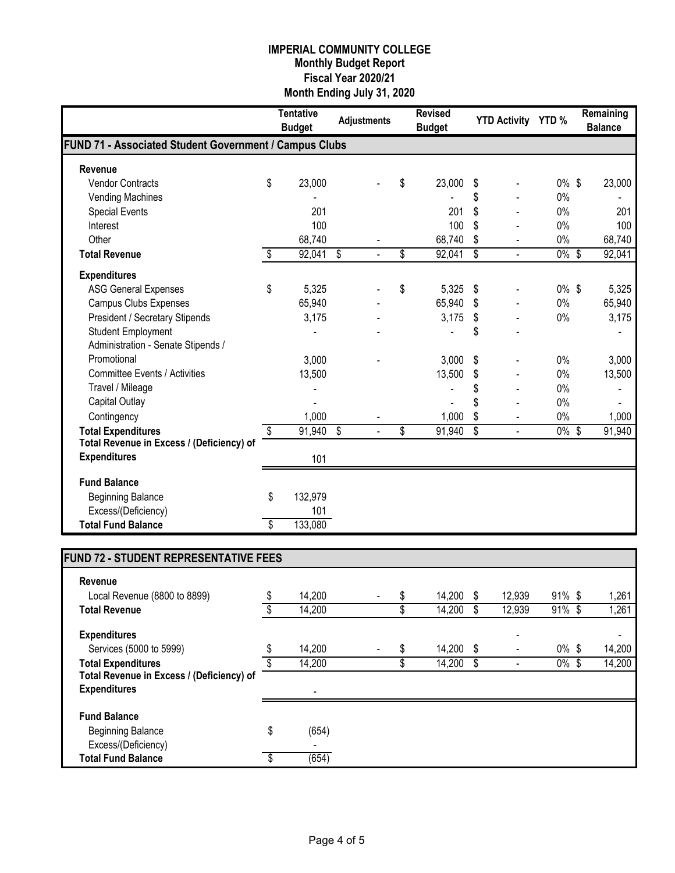|                                                        | <b>Tentative</b><br><b>Budget</b> | <b>Adjustments</b>        |    | <b>Revised</b><br><b>Budget</b> |    | <b>YTD Activity</b> | YTD%     | Remaining<br><b>Balance</b> |
|--------------------------------------------------------|-----------------------------------|---------------------------|----|---------------------------------|----|---------------------|----------|-----------------------------|
| FUND 71 - Associated Student Government / Campus Clubs |                                   |                           |    |                                 |    |                     |          |                             |
| Revenue                                                |                                   |                           |    |                                 |    |                     |          |                             |
| <b>Vendor Contracts</b>                                | \$<br>23,000                      |                           | \$ | 23,000                          | \$ |                     | $0\%$ \$ | 23,000                      |
| <b>Vending Machines</b>                                |                                   |                           |    |                                 | \$ |                     | $0\%$    |                             |
| <b>Special Events</b>                                  | 201                               |                           |    | 201                             | \$ |                     | 0%       | 201                         |
| Interest                                               | 100                               |                           |    | 100                             | \$ |                     | 0%       | 100                         |
| Other                                                  | 68,740                            |                           |    | 68,740                          | \$ |                     | 0%       | 68,740                      |
| <b>Total Revenue</b>                                   | \$<br>$92,041$ \$                 |                           | \$ | 92,041                          | Ŝ  |                     | $0\%$ \$ | 92,041                      |
| <b>Expenditures</b>                                    |                                   |                           |    |                                 |    |                     |          |                             |
| <b>ASG General Expenses</b>                            | \$<br>5,325                       |                           | \$ | 5,325                           | \$ |                     | $0\%$ \$ | 5,325                       |
| <b>Campus Clubs Expenses</b>                           | 65,940                            |                           |    | 65,940                          | \$ |                     | $0\%$    | 65,940                      |
| President / Secretary Stipends                         | 3,175                             |                           |    | 3,175                           | \$ | $\blacksquare$      | 0%       | 3,175                       |
| <b>Student Employment</b>                              |                                   |                           |    |                                 | \$ |                     |          |                             |
| Administration - Senate Stipends /                     |                                   |                           |    |                                 |    |                     |          |                             |
| Promotional                                            | 3,000                             |                           |    | 3,000                           | \$ |                     | 0%       | 3,000                       |
| <b>Committee Events / Activities</b>                   | 13,500                            |                           |    | 13,500                          | \$ |                     | 0%       | 13,500                      |
| Travel / Mileage                                       |                                   |                           |    |                                 |    |                     | 0%       | $\blacksquare$              |
| Capital Outlay                                         |                                   |                           |    |                                 | \$ |                     | 0%       |                             |
| Contingency                                            | 1,000                             |                           |    | 1,000                           | \$ |                     | 0%       | 1,000                       |
| <b>Total Expenditures</b>                              | \$<br>91,940                      | $\overline{\mathfrak{s}}$ | \$ | 91,940                          | \$ | $\blacksquare$      | $0\%$ \$ | 91,940                      |
| Total Revenue in Excess / (Deficiency) of              |                                   |                           |    |                                 |    |                     |          |                             |
| <b>Expenditures</b>                                    | 101                               |                           |    |                                 |    |                     |          |                             |
| <b>Fund Balance</b>                                    |                                   |                           |    |                                 |    |                     |          |                             |
| <b>Beginning Balance</b>                               | \$<br>132,979                     |                           |    |                                 |    |                     |          |                             |
| Excess/(Deficiency)                                    | 101                               |                           |    |                                 |    |                     |          |                             |
| <b>Total Fund Balance</b>                              | \$<br>133,080                     |                           |    |                                 |    |                     |          |                             |

| <b>FUND 72 - STUDENT REPRESENTATIVE FEES</b> |    |        |              |      |        |           |        |
|----------------------------------------------|----|--------|--------------|------|--------|-----------|--------|
| Revenue                                      |    |        |              |      |        |           |        |
| Local Revenue (8800 to 8899)                 | \$ | 14,200 | \$<br>14,200 | - \$ | 12,939 | $91\%$ \$ | 1,261  |
| <b>Total Revenue</b>                         | S  | 14,200 | \$<br>14,200 | S    | 12,939 | 91% \$    | 1,261  |
| <b>Expenditures</b>                          |    |        |              |      |        |           |        |
| Services (5000 to 5999)                      |    | 14,200 | \$<br>14,200 | - \$ |        | $0\%$ \$  | 14,200 |
| <b>Total Expenditures</b>                    | \$ | 14,200 | \$<br>14,200 | - \$ |        | $0\%$ \$  | 14,200 |
| Total Revenue in Excess / (Deficiency) of    |    |        |              |      |        |           |        |
| <b>Expenditures</b>                          |    |        |              |      |        |           |        |
| <b>Fund Balance</b>                          |    |        |              |      |        |           |        |
| <b>Beginning Balance</b>                     | \$ | (654)  |              |      |        |           |        |
| Excess/(Deficiency)                          |    |        |              |      |        |           |        |
| <b>Total Fund Balance</b>                    |    | (654)  |              |      |        |           |        |